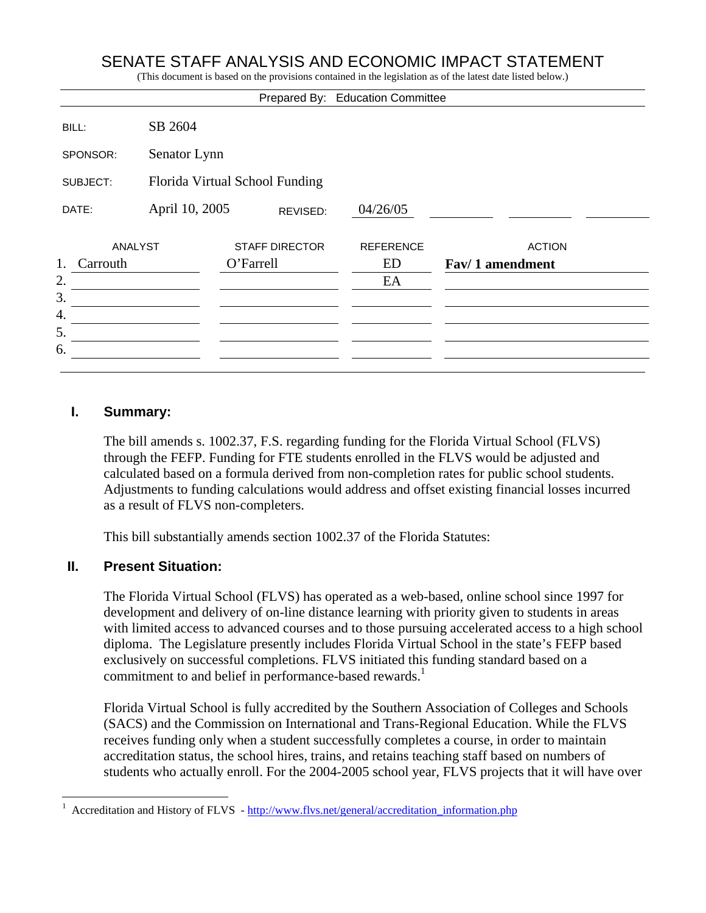## SENATE STAFF ANALYSIS AND ECONOMIC IMPACT STATEMENT

(This document is based on the provisions contained in the legislation as of the latest date listed below.)

|                      |                                |                       | Prepared By: Education Committee |                 |
|----------------------|--------------------------------|-----------------------|----------------------------------|-----------------|
| BILL:                | SB 2604                        |                       |                                  |                 |
| SPONSOR:             | Senator Lynn                   |                       |                                  |                 |
| SUBJECT:             | Florida Virtual School Funding |                       |                                  |                 |
| DATE:                | April 10, 2005                 | REVISED:              | 04/26/05                         |                 |
| ANALYST              |                                | <b>STAFF DIRECTOR</b> | <b>REFERENCE</b>                 | <b>ACTION</b>   |
| 1.<br>Carrouth<br>2. |                                | O'Farrell             | ED<br>EA                         | Fav/1 amendment |
| 3.                   |                                |                       |                                  |                 |
| 4.                   |                                |                       |                                  |                 |
| 5.                   |                                |                       |                                  |                 |
| 6.                   |                                |                       |                                  |                 |
|                      |                                |                       |                                  |                 |

#### **I. Summary:**

The bill amends s. 1002.37, F.S. regarding funding for the Florida Virtual School (FLVS) through the FEFP. Funding for FTE students enrolled in the FLVS would be adjusted and calculated based on a formula derived from non-completion rates for public school students. Adjustments to funding calculations would address and offset existing financial losses incurred as a result of FLVS non-completers.

This bill substantially amends section 1002.37 of the Florida Statutes:

## **II. Present Situation:**

1

The Florida Virtual School (FLVS) has operated as a web-based, online school since 1997 for development and delivery of on-line distance learning with priority given to students in areas with limited access to advanced courses and to those pursuing accelerated access to a high school diploma. The Legislature presently includes Florida Virtual School in the state's FEFP based exclusively on successful completions. FLVS initiated this funding standard based on a commitment to and belief in performance-based rewards.<sup>1</sup>

Florida Virtual School is fully accredited by the Southern Association of Colleges and Schools (SACS) and the Commission on International and Trans-Regional Education. While the FLVS receives funding only when a student successfully completes a course, in order to maintain accreditation status, the school hires, trains, and retains teaching staff based on numbers of students who actually enroll. For the 2004-2005 school year, FLVS projects that it will have over

<sup>1</sup> Accreditation and History of FLVS - http://www.flvs.net/general/accreditation\_information.php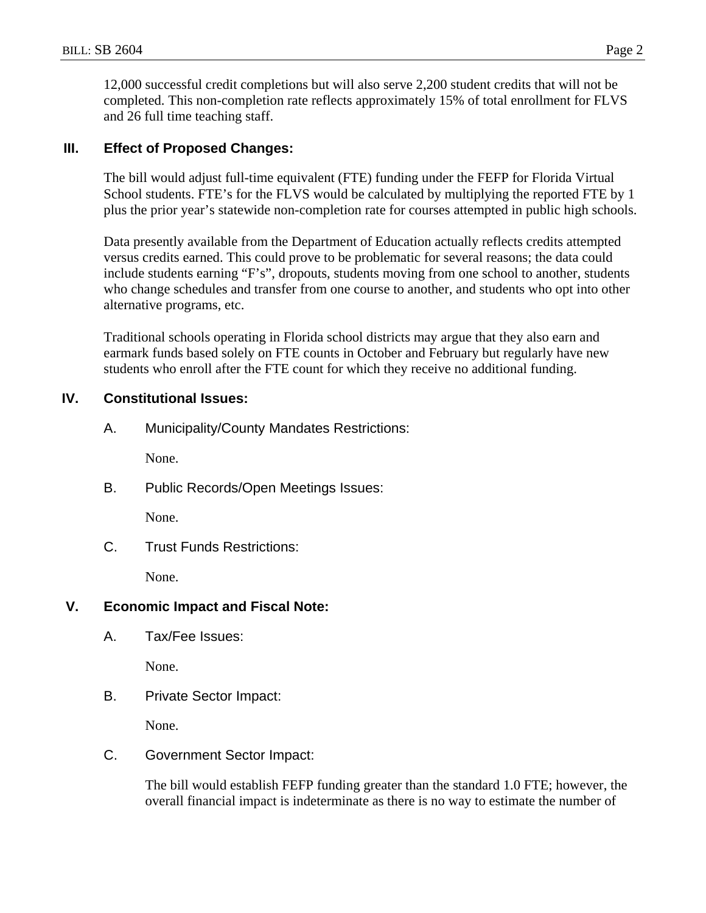12,000 successful credit completions but will also serve 2,200 student credits that will not be completed. This non-completion rate reflects approximately 15% of total enrollment for FLVS and 26 full time teaching staff.

## **III. Effect of Proposed Changes:**

The bill would adjust full-time equivalent (FTE) funding under the FEFP for Florida Virtual School students. FTE's for the FLVS would be calculated by multiplying the reported FTE by 1 plus the prior year's statewide non-completion rate for courses attempted in public high schools.

Data presently available from the Department of Education actually reflects credits attempted versus credits earned. This could prove to be problematic for several reasons; the data could include students earning "F's", dropouts, students moving from one school to another, students who change schedules and transfer from one course to another, and students who opt into other alternative programs, etc.

Traditional schools operating in Florida school districts may argue that they also earn and earmark funds based solely on FTE counts in October and February but regularly have new students who enroll after the FTE count for which they receive no additional funding.

## **IV. Constitutional Issues:**

A. Municipality/County Mandates Restrictions:

None.

B. Public Records/Open Meetings Issues:

None.

C. Trust Funds Restrictions:

None.

## **V. Economic Impact and Fiscal Note:**

A. Tax/Fee Issues:

None.

B. Private Sector Impact:

None.

C. Government Sector Impact:

The bill would establish FEFP funding greater than the standard 1.0 FTE; however, the overall financial impact is indeterminate as there is no way to estimate the number of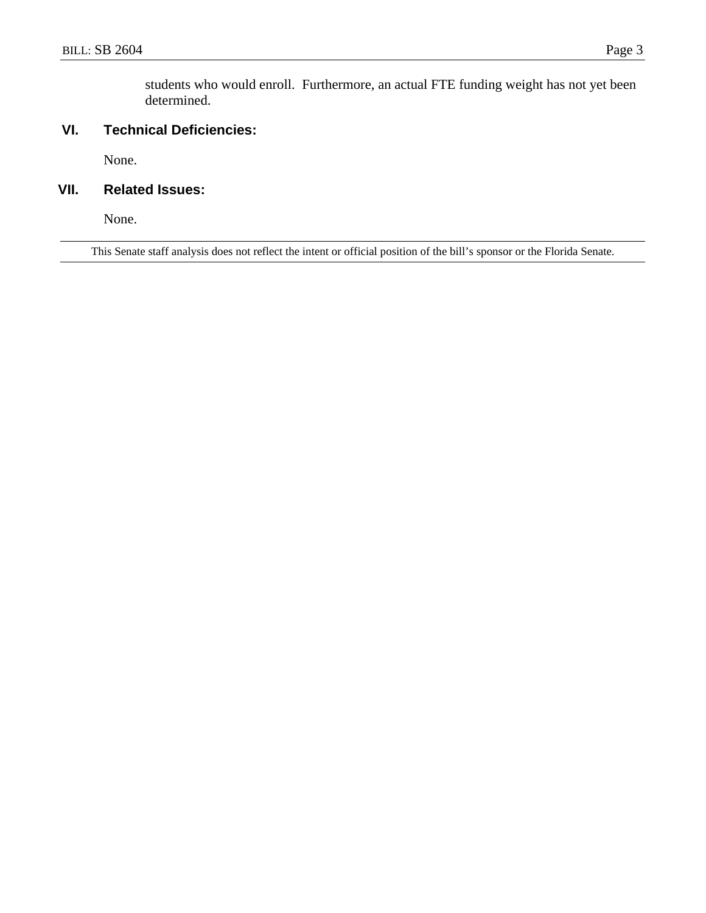students who would enroll. Furthermore, an actual FTE funding weight has not yet been determined.

## **VI. Technical Deficiencies:**

None.

## **VII. Related Issues:**

None.

This Senate staff analysis does not reflect the intent or official position of the bill's sponsor or the Florida Senate.